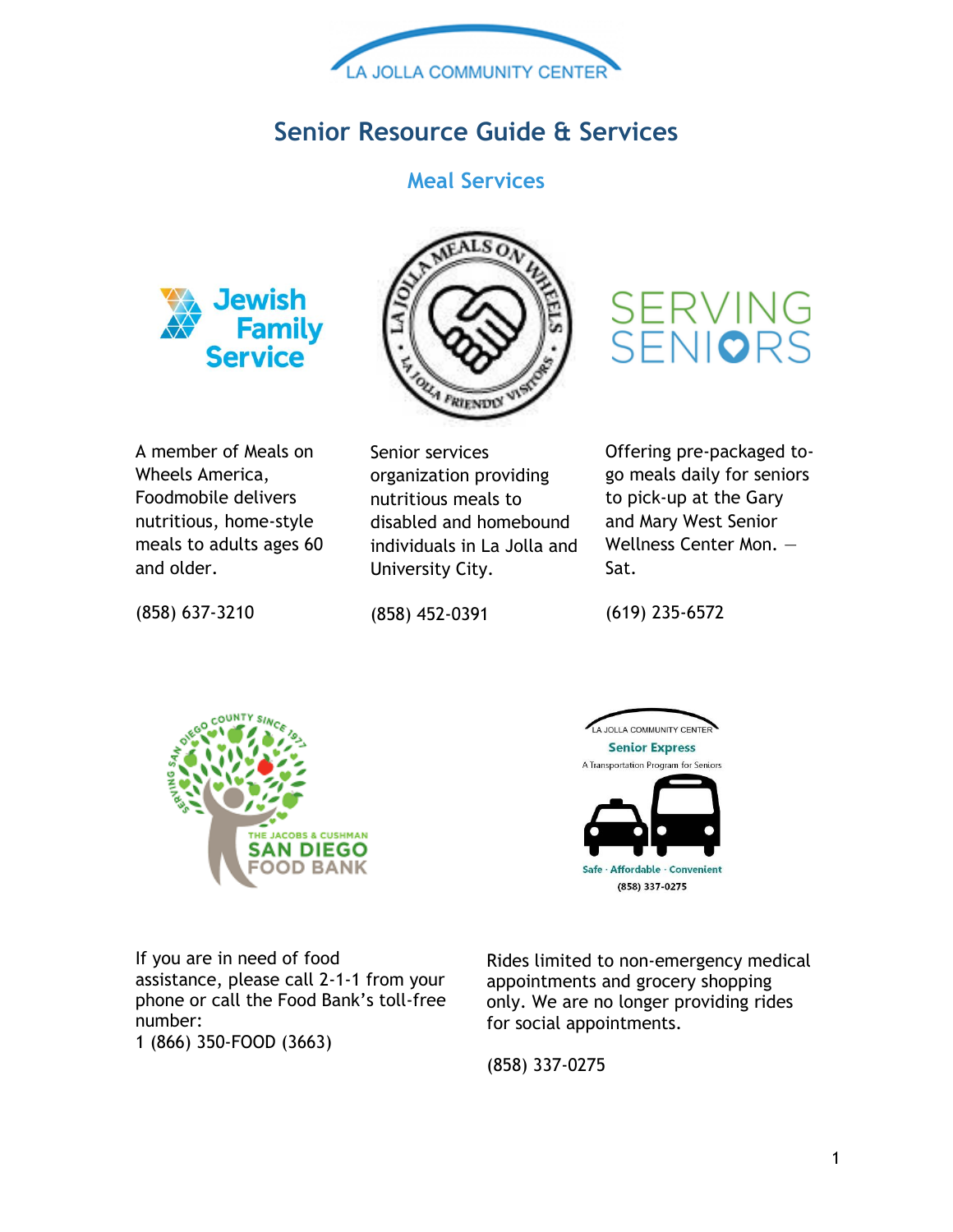

# **Senior Resource Guide & Services**

### **Meal Services**





A member of Meals on Wheels America, Foodmobile delivers nutritious, home-style meals to adults ages 60 and older.

Senior services organization providing nutritious meals to disabled and homebound individuals in La Jolla and University City.

Offering pre-packaged togo meals daily for seniors to pick-up at the Gary and Mary West Senior Wellness Center Mon. —

SERVING<br>SENI**O**RS

(858) 637-3210

(858) 452-0391

(619) 235-6572

Sat.





If you are in need of food assistance, please call 2-1-1 from your phone or call the Food Bank's toll-free number:

1 (866) 350-FOOD (3663)

Rides limited to non-emergency medical appointments and grocery shopping only. We are no longer providing rides for social appointments.

(858) 337-0275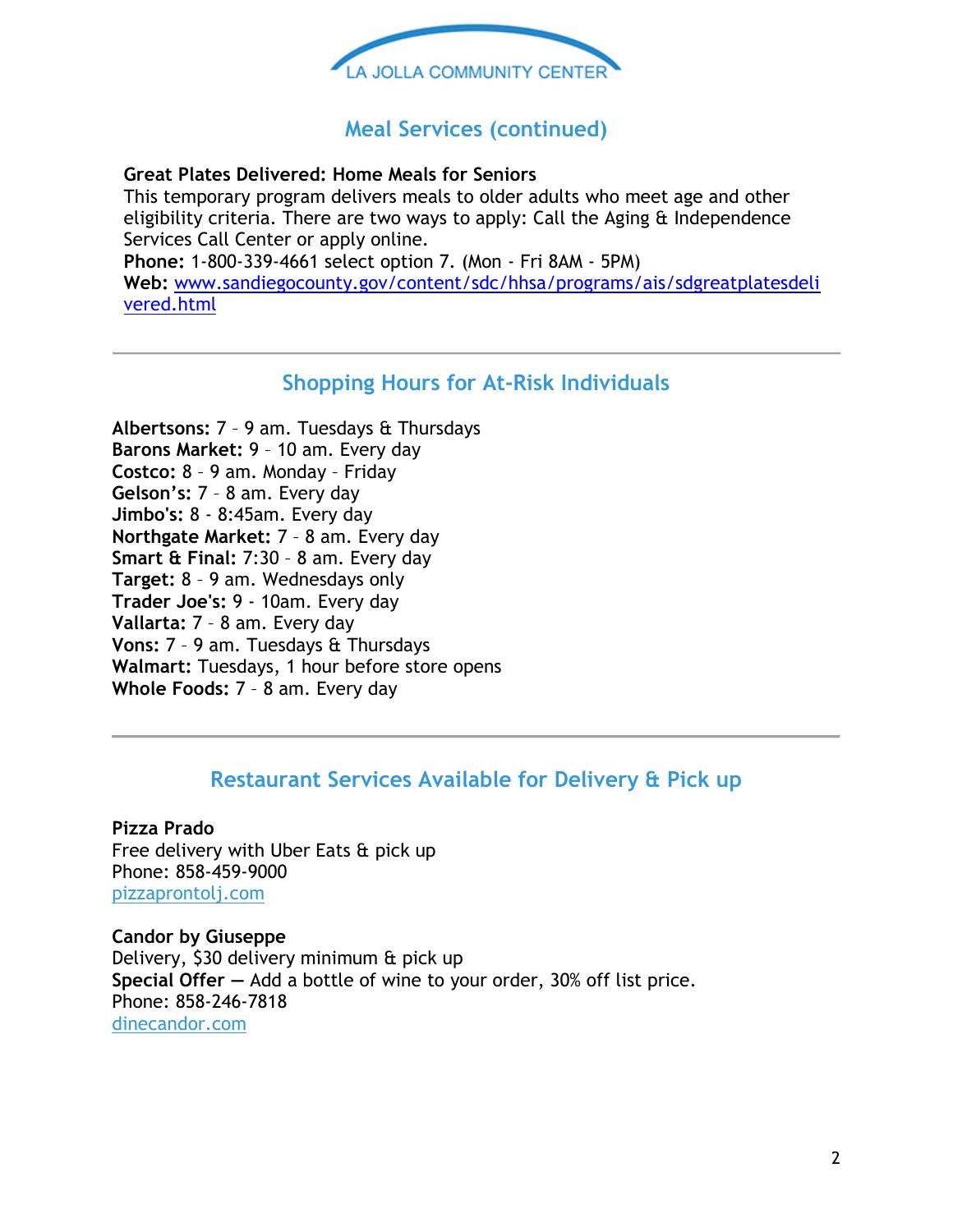

### **Meal Services (continued)**

#### **Great Plates Delivered: Home Meals for Seniors**

This temporary program delivers meals to older adults who meet age and other eligibility criteria. There are two ways to apply: Call the Aging & Independence Services Call Center or apply online. **Phone:** 1-800-339-4661 select option 7. (Mon - Fri 8AM - 5PM) **Web:** [www.sandiegocounty.gov/content/sdc/hhsa/programs/ais/sdgreatplatesdeli](http://www.sandiegocounty.gov/content/sdc/hhsa/programs/ais/sdgreatplatesdelivered.html) [vered.html](http://www.sandiegocounty.gov/content/sdc/hhsa/programs/ais/sdgreatplatesdelivered.html)

### **Shopping Hours for At-Risk Individuals**

**Albertsons:** 7 – 9 am. Tuesdays & Thursdays **Barons Market:** 9 – 10 am. Every day **Costco:** 8 – 9 am. Monday – Friday **Gelson's:** 7 – 8 am. Every day **Jimbo's:** 8 - 8:45am. Every day **Northgate Market:** 7 – 8 am. Every day **Smart & Final:** 7:30 – 8 am. Every day **Target:** 8 – 9 am. Wednesdays only **Trader Joe's:** 9 - 10am. Every day **Vallarta:** 7 – 8 am. Every day **Vons:** 7 – 9 am. Tuesdays & Thursdays **Walmart:** Tuesdays, 1 hour before store opens **Whole Foods:** 7 – 8 am. Every day

### **Restaurant Services Available for Delivery & Pick up**

**Pizza Prado** Free delivery with Uber Eats & pick up Phone: 858-459-9000 [pizzaprontolj.com](https://app.greenrope.com/c1.pl?3cf787249990993a14507b6c457f5a2adb28366175b0bba1)

**Candor by Giuseppe** Delivery, \$30 delivery minimum & pick up **Special Offer —** Add a bottle of wine to your order, 30% off list price. Phone: 858-246-7818 [dinecandor.com](https://app.greenrope.com/c1.pl?89c89364eed62d77093b05d10d3ff66e61add21010e57084)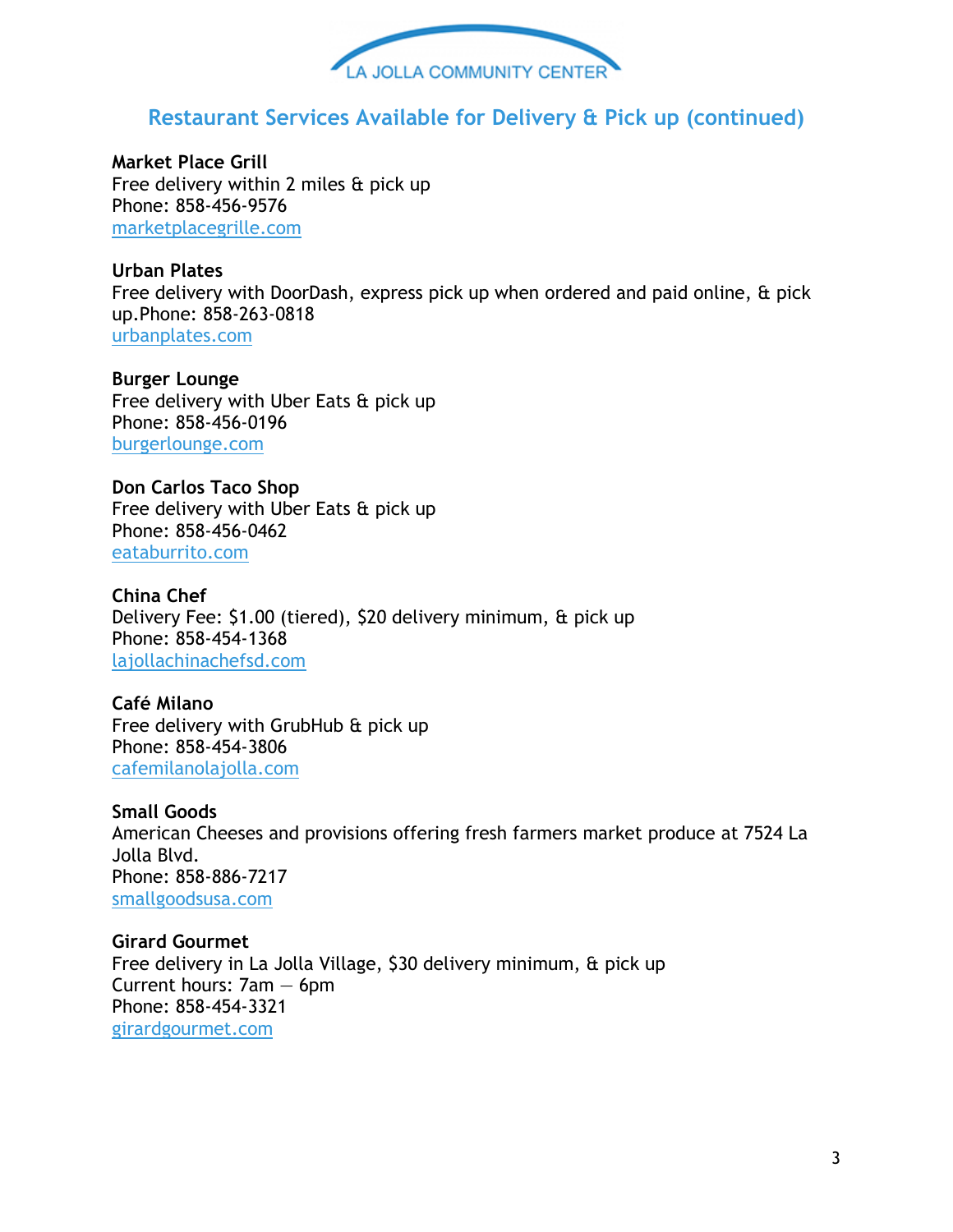

# **Restaurant Services Available for Delivery & Pick up (continued)**

**Market Place Grill** Free delivery within 2 miles & pick up Phone: 858-456-9576 [marketplacegrille.com](https://app.greenrope.com/c1.pl?a2380a0f7082c08cfc8f263bc77e2cc2ab3ad868fe2d8d61)

### **Urban Plates**

Free delivery with DoorDash, express pick up when ordered and paid online, & pick up.Phone: 858-263-0818 [urbanplates.com](https://app.greenrope.com/c1.pl?c619047e6b15cf7446ad3bddafc4c2608006a3ddcc8b3e0c)

**Burger Lounge** Free delivery with Uber Eats & pick up Phone: 858-456-0196 [burgerlounge.com](https://app.greenrope.com/c1.pl?585226b149c7dee24ed8af8ef30ef6deca77da3f0a3b647b)

**Don Carlos Taco Shop** Free delivery with Uber Eats & pick up Phone: 858-456-0462 [eataburrito.com](https://app.greenrope.com/c1.pl?403d4cbb68e908647f48238ccd97abf2b7c7937e3442126e)

**China Chef** Delivery Fee: \$1.00 (tiered), \$20 delivery minimum, & pick up Phone: 858-454-1368 [lajollachinachefsd.com](https://app.greenrope.com/c1.pl?5944c19ffd5d2e7ad559b35ad2d6f85971b62c5f0b066035)

**Café Milano** Free delivery with GrubHub & pick up Phone: 858-454-3806 [cafemilanolajolla.com](https://app.greenrope.com/c1.pl?5acd891a5e13c3cad55104a6489fb7083f0ddbc13c33116d)

**Small Goods** American Cheeses and provisions offering fresh farmers market produce at 7524 La Jolla Blvd. Phone: 858-886-7217 [smallgoodsusa.com](https://app.greenrope.com/c1.pl?81551739cf274e5311a141a5a902c14a8e033f537299401b)

**Girard Gourmet** Free delivery in La Jolla Village, \$30 delivery minimum, & pick up Current hours: 7am — 6pm Phone: 858-454-3321 [girardgourmet.com](https://app.greenrope.com/c1.pl?206ec4b2d90c90a64abad861321ae4e881d68dc251b1bec5)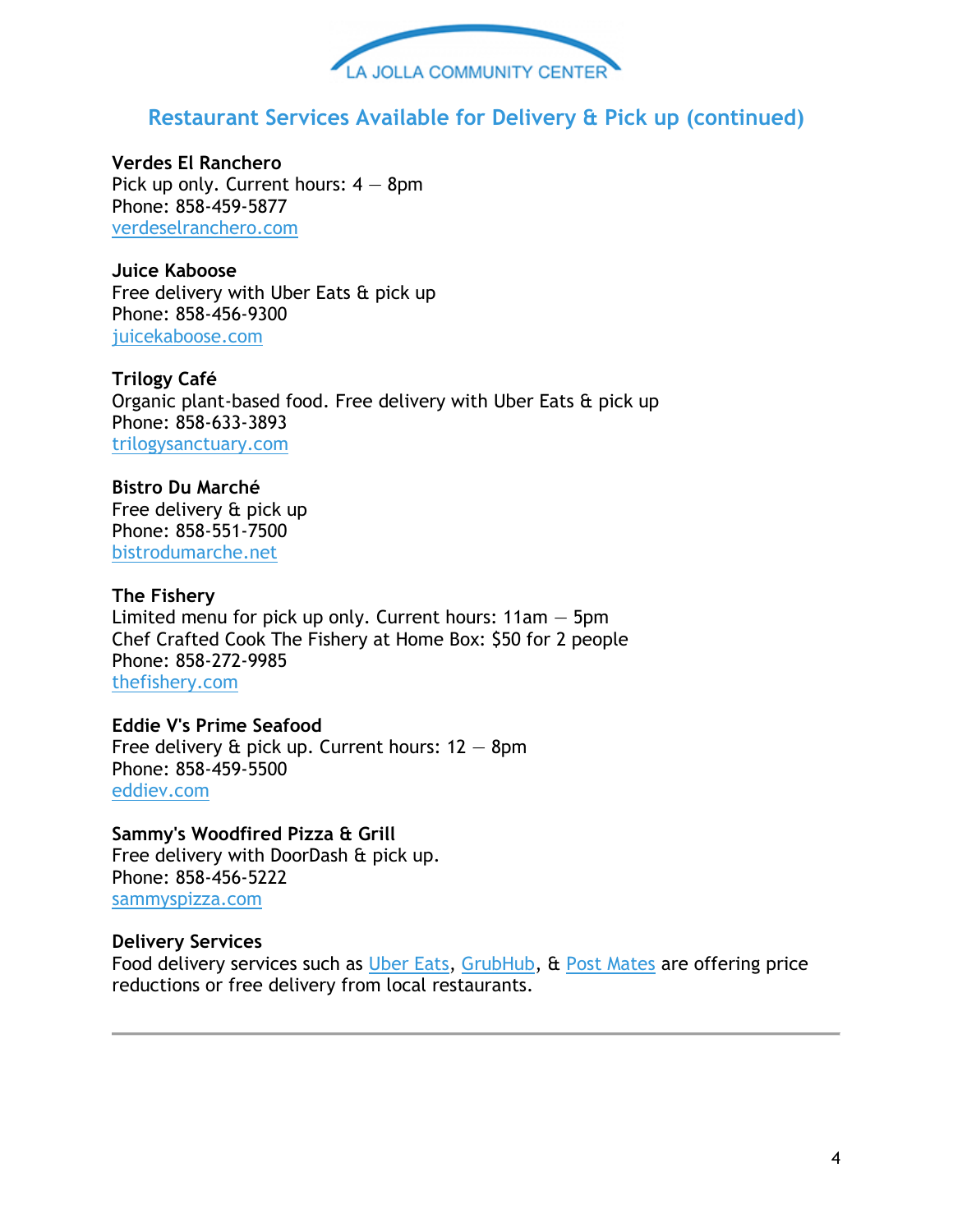

# **Restaurant Services Available for Delivery & Pick up (continued)**

**Verdes El Ranchero** Pick up only. Current hours:  $4 - 8$ pm Phone: 858-459-5877 [verdeselranchero.com](https://app.greenrope.com/c1.pl?729f9fe6d4ed013243f9c34dc03f97a13f8debe0c9fe28bb)

**Juice Kaboose** Free delivery with Uber Eats & pick up Phone: 858-456-9300 [juicekaboose.com](https://app.greenrope.com/c1.pl?ac83d7b563f1fb4f02b570158e7764fd0ebb27f051c74ea9)

**Trilogy Café** Organic plant-based food. Free delivery with Uber Eats & pick up Phone: 858-633-3893 [trilogysanctuary.com](https://app.greenrope.com/c1.pl?21bd7a6786d88b91d014423a700ddaf4e0a87e6f3b48da64)

**Bistro Du Marché** Free delivery & pick up Phone: 858-551-7500 [bistrodumarche.net](https://app.greenrope.com/c1.pl?acc7713a04b5097f0711cd1f6d9981a0064e996849a3afbc)

**The Fishery** Limited menu for pick up only. Current hours:  $11am - 5pm$ Chef Crafted Cook The Fishery at Home Box: \$50 for 2 people Phone: 858-272-9985 [thefishery.com](https://app.greenrope.com/c1.pl?6d7117ba4492a8401bbadef845f79fa12b00682802cbc9cf)

**Eddie V's Prime Seafood** Free delivery  $\hat{\alpha}$  pick up. Current hours:  $12 - 8$ pm Phone: 858-459-5500 [eddiev.com](https://app.greenrope.com/c1.pl?897a3e5359b2e2f2240b45a2a55a00b75f3870d53d0ab882)

**Sammy's Woodfired Pizza & Grill** Free delivery with DoorDash & pick up. Phone: 858-456-5222 [sammyspizza.com](https://app.greenrope.com/c1.pl?fa8754fc739d8d64b35d1af56e0ea672e9d88940fb905fc2)

#### **Delivery Services**

Food delivery services such as [Uber Eats,](https://app.greenrope.com/c1.pl?aff797680ddc4909de81bb31d9c66e74e5a4a3ab332acf2e) [GrubHub,](https://app.greenrope.com/c1.pl?e393cc9183967b050d739ff333456f106a43e5419f96fe76) & [Post Mates](https://app.greenrope.com/c1.pl?308a5ced31d20013b2d27123c0583fb7ecb0476896769071) are offering price reductions or free delivery from local restaurants.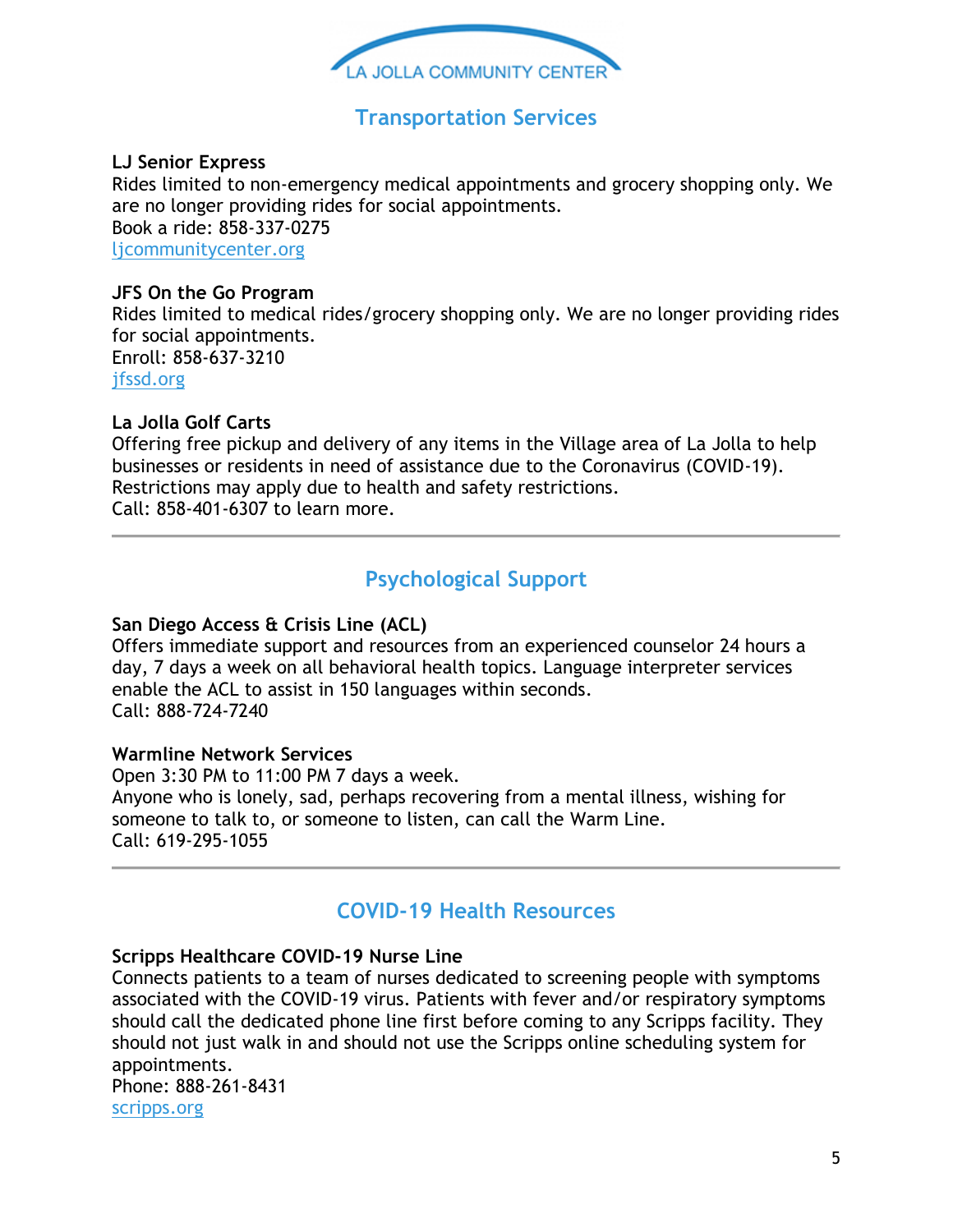

# **Transportation Services**

### **LJ Senior Express**

Rides limited to non-emergency medical appointments and grocery shopping only. We are no longer providing rides for social appointments. Book a ride: 858-337-0275 [ljcommunitycenter.org](https://app.greenrope.com/c1.pl?95f66642cf74fe2a2d2dadc695222b292204d9259bb47fca)

### **JFS On the Go Program**

Rides limited to medical rides/grocery shopping only. We are no longer providing rides for social appointments. Enroll: 858-637-3210 [jfssd.org](https://app.greenrope.com/c1.pl?2247f7c76b2ef771e46cbbcd93a77c48a9d0f49b25c0aa2f)

### **La Jolla Golf Carts**

Offering free pickup and delivery of any items in the Village area of La Jolla to help businesses or residents in need of assistance due to the Coronavirus (COVID-19). Restrictions may apply due to health and safety restrictions. Call: 858-401-6307 to learn more.

# **Psychological Support**

### **San Diego Access & Crisis Line (ACL)**

Offers immediate support and resources from an experienced counselor 24 hours a day, 7 days a week on all behavioral health topics. Language interpreter services enable the ACL to assist in 150 languages within seconds. Call: 888-724-7240

#### **Warmline Network Services**

Open 3:30 PM to 11:00 PM 7 days a week. Anyone who is lonely, sad, perhaps recovering from a mental illness, wishing for someone to talk to, or someone to listen, can call the Warm Line. Call: 619-295-1055

### **COVID-19 Health Resources**

#### **Scripps Healthcare COVID-19 Nurse Line**

Connects patients to a team of nurses dedicated to screening people with symptoms associated with the COVID-19 virus. Patients with fever and/or respiratory symptoms should call the dedicated phone line first before coming to any Scripps facility. They should not just walk in and should not use the Scripps online scheduling system for appointments.

Phone: 888-261-8431 [scripps.org](https://app.greenrope.com/c1.pl?b84702d8d8e43d57762c941c28a59f2fc01288d1386c3a06)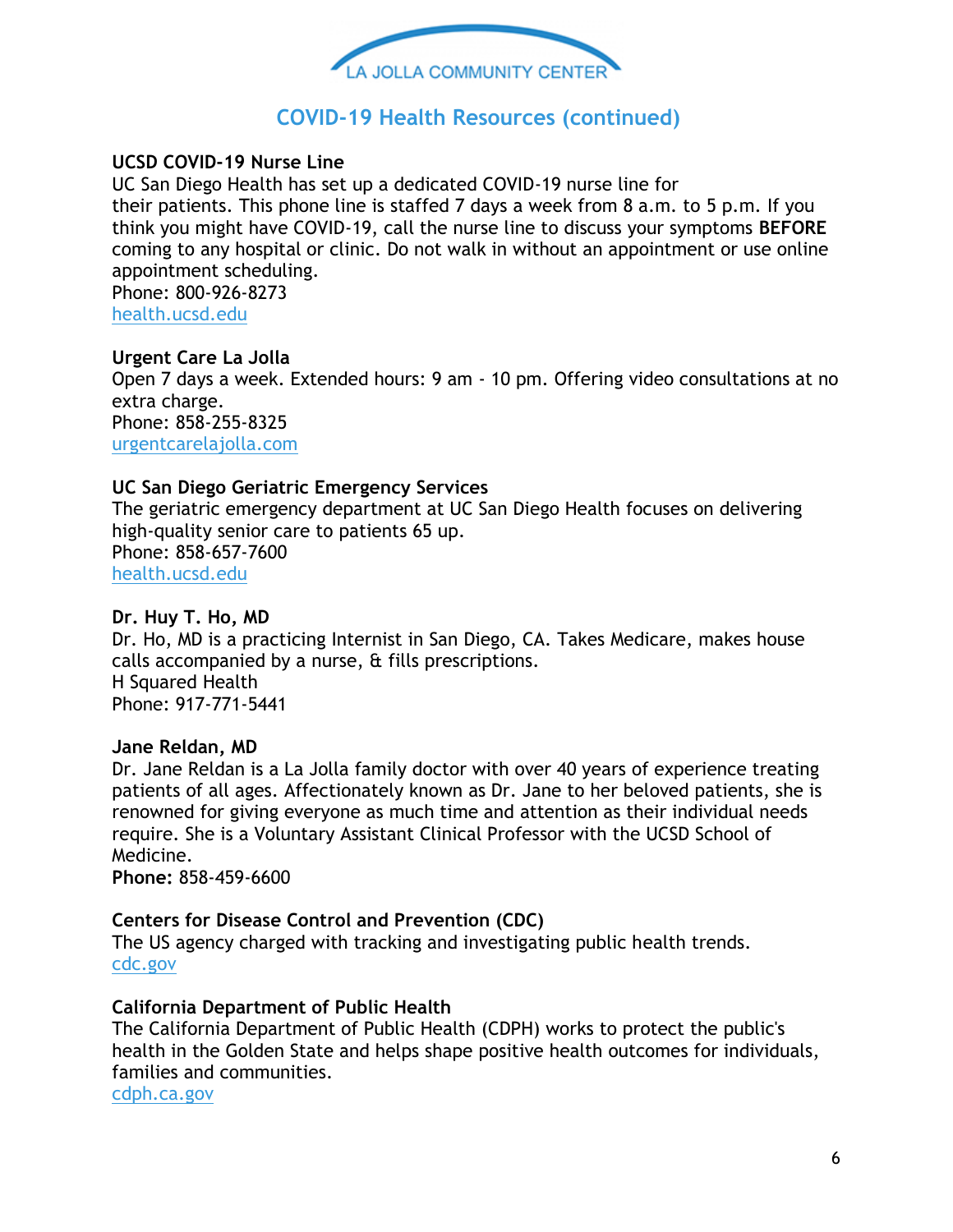

# **COVID-19 Health Resources (continued)**

### **UCSD COVID-19 Nurse Line**

UC San Diego Health has set up a dedicated COVID-19 nurse line for their patients. This phone line is staffed 7 days a week from 8 a.m. to 5 p.m. If you think you might have COVID-19, call the nurse line to discuss your symptoms **BEFORE** coming to any hospital or clinic. Do not walk in without an appointment or use online appointment scheduling. Phone: 800-926-8273

[health.ucsd.edu](https://app.greenrope.com/c1.pl?dd21b5dfe9bc43249fcd4e26df181363b6904523cc718494)

### **Urgent Care La Jolla** Open 7 days a week. Extended hours: 9 am - 10 pm. Offering video consultations at no extra charge. Phone: 858-255-8325 [urgentcarelajolla.com](https://app.greenrope.com/c1.pl?a4def9a91af0309f94b5d6473744d0bf514c6bacd3a7893e)

### **UC San Diego Geriatric Emergency Services**

The geriatric emergency department at UC San Diego Health focuses on delivering high-quality senior care to patients 65 up. Phone: 858-657-7600 [health.ucsd.edu](https://app.greenrope.com/c1.pl?b15e662e33179360819f3bb754f7bfbad3da18badc5d188a)

#### **Dr. Huy T. Ho, MD**

Dr. Ho, MD is a practicing Internist in San Diego, CA. Takes Medicare, makes house calls accompanied by a nurse, & fills prescriptions. H Squared Health Phone: 917-771-5441

### **Jane Reldan, MD**

Dr. Jane Reldan is a La Jolla family doctor with over 40 years of experience treating patients of all ages. Affectionately known as Dr. Jane to her beloved patients, she is renowned for giving everyone as much time and attention as their individual needs require. She is a Voluntary Assistant Clinical Professor with the UCSD School of Medicine.

**Phone:** 858-459-6600

### **Centers for Disease Control and Prevention (CDC)**

The US agency charged with tracking and investigating public health trends. [cdc.gov](https://app.greenrope.com/c1.pl?62e249bb0b40b3a85f9173587dfa84b42452c30147feafed)

### **California Department of Public Health**

The California Department of Public Health (CDPH) works to protect the public's health in the Golden State and helps shape positive health outcomes for individuals, families and communities.

[cdph.ca.gov](https://app.greenrope.com/c1.pl?709c5db6e2c3b0b4d25101062baaafefde5755152f771048)